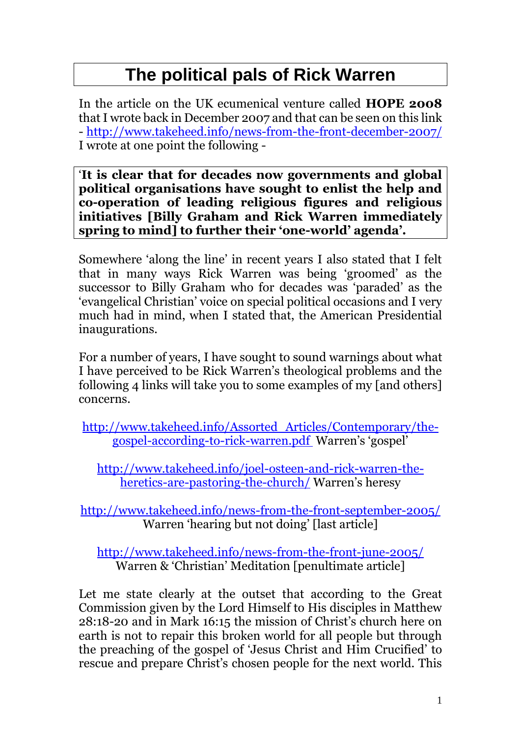## **The political pals of Rick Warren**

In the article on the UK ecumenical venture called **HOPE 2008**  that I wrote back in December 2007 and that can be seen on this link - <http://www.takeheed.info/news-from-the-front-december-2007/> I wrote at one point the following -

'**It is clear that for decades now governments and global political organisations have sought to enlist the help and co-operation of leading religious figures and religious initiatives [Billy Graham and Rick Warren immediately spring to mind] to further their 'one-world' agenda'.**

Somewhere 'along the line' in recent years I also stated that I felt that in many ways Rick Warren was being 'groomed' as the successor to Billy Graham who for decades was 'paraded' as the 'evangelical Christian' voice on special political occasions and I very much had in mind, when I stated that, the American Presidential inaugurations.

For a number of years, I have sought to sound warnings about what I have perceived to be Rick Warren's theological problems and the following 4 links will take you to some examples of my [and others] concerns.

[http://www.takeheed.info/Assorted\\_Articles/Contemporary/the](http://www.takeheed.info/Assorted_Articles/Contemporary/the-gospel-according-to-rick-warren.pdf)[gospel-according-to-rick-warren.pdf](http://www.takeheed.info/Assorted_Articles/Contemporary/the-gospel-according-to-rick-warren.pdf) Warren's 'gospel'

[http://www.takeheed.info/joel-osteen-and-rick-warren-the](http://www.takeheed.info/joel-osteen-and-rick-warren-the-heretics-are-pastoring-the-church/)[heretics-are-pastoring-the-church/](http://www.takeheed.info/joel-osteen-and-rick-warren-the-heretics-are-pastoring-the-church/) Warren's heresy

<http://www.takeheed.info/news-from-the-front-september-2005/> Warren 'hearing but not doing' [last article]

<http://www.takeheed.info/news-from-the-front-june-2005/> Warren & 'Christian' Meditation [penultimate article]

Let me state clearly at the outset that according to the Great Commission given by the Lord Himself to His disciples in Matthew 28:18-20 and in Mark 16:15 the mission of Christ's church here on earth is not to repair this broken world for all people but through the preaching of the gospel of 'Jesus Christ and Him Crucified' to rescue and prepare Christ's chosen people for the next world. This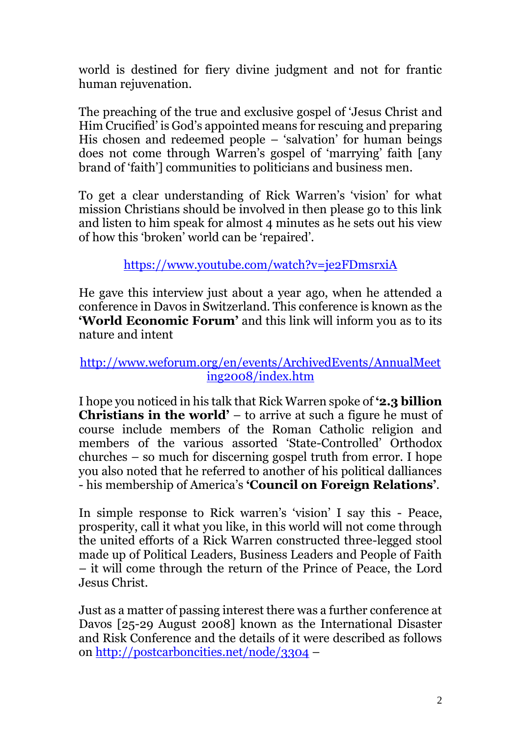world is destined for fiery divine judgment and not for frantic human rejuvenation.

The preaching of the true and exclusive gospel of 'Jesus Christ and Him Crucified' is God's appointed means for rescuing and preparing His chosen and redeemed people – 'salvation' for human beings does not come through Warren's gospel of 'marrying' faith [any brand of 'faith'] communities to politicians and business men.

To get a clear understanding of Rick Warren's 'vision' for what mission Christians should be involved in then please go to this link and listen to him speak for almost 4 minutes as he sets out his view of how this 'broken' world can be 'repaired'.

<https://www.youtube.com/watch?v=je2FDmsrxiA>

He gave this interview just about a year ago, when he attended a conference in Davos in Switzerland. This conference is known as the **'World Economic Forum'** and this link will inform you as to its nature and intent

## [http://www.weforum.org/en/events/ArchivedEvents/AnnualMeet](http://www.weforum.org/en/events/ArchivedEvents/AnnualMeeting2008/index.htm) [ing2008/index.htm](http://www.weforum.org/en/events/ArchivedEvents/AnnualMeeting2008/index.htm)

I hope you noticed in his talk that Rick Warren spoke of **'2.3 billion Christians in the world'** – to arrive at such a figure he must of course include members of the Roman Catholic religion and members of the various assorted 'State-Controlled' Orthodox churches – so much for discerning gospel truth from error. I hope you also noted that he referred to another of his political dalliances - his membership of America's **'Council on Foreign Relations'**.

In simple response to Rick warren's 'vision' I say this - Peace, prosperity, call it what you like, in this world will not come through the united efforts of a Rick Warren constructed three-legged stool made up of Political Leaders, Business Leaders and People of Faith – it will come through the return of the Prince of Peace, the Lord Jesus Christ.

Just as a matter of passing interest there was a further conference at Davos [25-29 August 2008] known as the International Disaster and Risk Conference and the details of it were described as follows on<http://postcarboncities.net/node/3304> –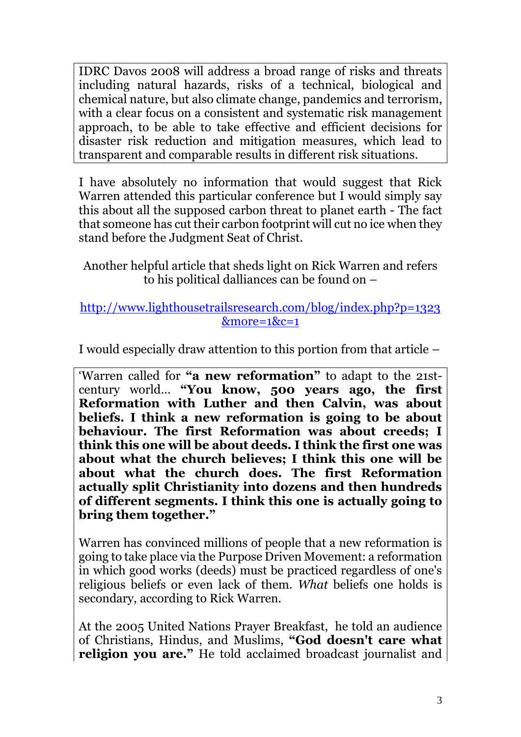IDRC Davos 2008 will address a broad range of risks and threats including natural hazards, risks of a technical, biological and chemical nature, but also climate change, pandemics and terrorism, with a clear focus on a consistent and systematic risk management approach, to be able to take effective and efficient decisions for disaster risk reduction and mitigation measures, which lead to transparent and comparable results in different risk situations.

I have absolutely no information that would suggest that Rick Warren attended this particular conference but I would simply say this about all the supposed carbon threat to planet earth - The fact that someone has cut their carbon footprint will cut no ice when they stand before the Judgment Seat of Christ.

Another helpful article that sheds light on Rick Warren and refers to his political dalliances can be found on –

## [http://www.lighthousetrailsresearch.com/blog/index.php?p=1323](http://www.lighthousetrailsresearch.com/blog/index.php?p=1323&more=1&c=1)  $&more=1&c=1$

I would especially draw attention to this portion from that article –

'Warren called for **"a new reformation"** to adapt to the 21stcentury world… **"You know, 500 years ago, the first Reformation with Luther and then Calvin, was about beliefs. I think a new reformation is going to be about behaviour. The first Reformation was about creeds; I think this one will be about deeds. I think the first one was about what the church believes; I think this one will be about what the church does. The first Reformation actually split Christianity into dozens and then hundreds of different segments. I think this one is actually going to bring them together."**

Warren has convinced millions of people that a new reformation is going to take place via the Purpose Driven Movement: a reformation in which good works (deeds) must be practiced regardless of one's religious beliefs or even lack of them. *What* beliefs one holds is secondary, according to Rick Warren.

At the 2005 United Nations Prayer Breakfast, he told an audience of Christians, Hindus, and Muslims, **"God doesn't care what religion you are."** He told acclaimed broadcast journalist and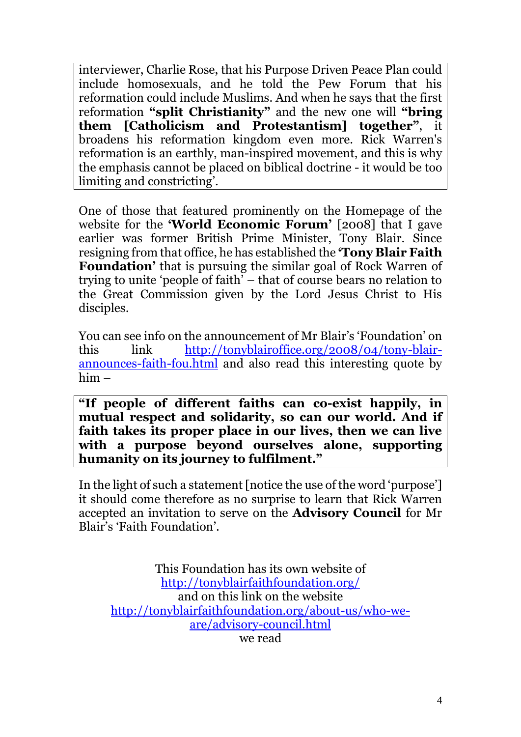interviewer, Charlie Rose, that his Purpose Driven Peace Plan could include homosexuals, and he told the Pew Forum that his reformation could include Muslims. And when he says that the first reformation **"split Christianity"** and the new one will **"bring them [Catholicism and Protestantism] together"**, it broadens his reformation kingdom even more. Rick Warren's reformation is an earthly, man-inspired movement, and this is why the emphasis cannot be placed on biblical doctrine - it would be too limiting and constricting'.

One of those that featured prominently on the Homepage of the website for the **'World Economic Forum'** [2008] that I gave earlier was former British Prime Minister, Tony Blair. Since resigning from that office, he has established the **'Tony Blair Faith Foundation'** that is pursuing the similar goal of Rock Warren of trying to unite 'people of faith' – that of course bears no relation to the Great Commission given by the Lord Jesus Christ to His disciples.

You can see info on the announcement of Mr Blair's 'Foundation' on this link [http://tonyblairoffice.org/2008/04/tony-blair](http://tonyblairoffice.org/2008/04/tony-blair-announces-faith-fou.html)[announces-faith-fou.html](http://tonyblairoffice.org/2008/04/tony-blair-announces-faith-fou.html) and also read this interesting quote by him –

**"If people of different faiths can co-exist happily, in mutual respect and solidarity, so can our world. And if faith takes its proper place in our lives, then we can live with a purpose beyond ourselves alone, supporting humanity on its journey to fulfilment."**

In the light of such a statement [notice the use of the word 'purpose'] it should come therefore as no surprise to learn that Rick Warren accepted an invitation to serve on the **Advisory Council** for Mr Blair's 'Faith Foundation'.

This Foundation has its own website of <http://tonyblairfaithfoundation.org/> and on this link on the website [http://tonyblairfaithfoundation.org/about-us/who-we](http://tonyblairfaithfoundation.org/about-us/who-we-are/advisory-council.html)[are/advisory-council.html](http://tonyblairfaithfoundation.org/about-us/who-we-are/advisory-council.html)

we read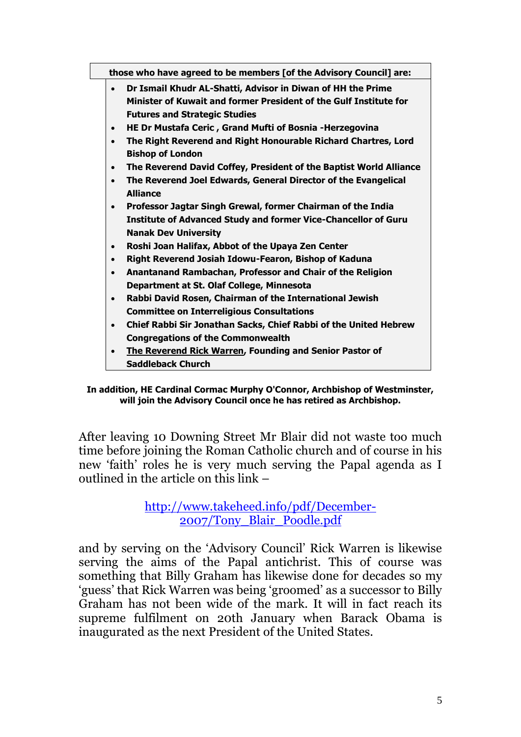| those who have agreed to be members [of the Advisory Council] are: |           |                                                                         |
|--------------------------------------------------------------------|-----------|-------------------------------------------------------------------------|
|                                                                    | $\bullet$ | Dr Ismail Khudr AL-Shatti, Advisor in Diwan of HH the Prime             |
|                                                                    |           | Minister of Kuwait and former President of the Gulf Institute for       |
|                                                                    |           | <b>Futures and Strategic Studies</b>                                    |
|                                                                    | $\bullet$ | HE Dr Mustafa Ceric, Grand Mufti of Bosnia - Herzegovina                |
|                                                                    | $\bullet$ | The Right Reverend and Right Honourable Richard Chartres, Lord          |
|                                                                    |           | <b>Bishop of London</b>                                                 |
|                                                                    | $\bullet$ | The Reverend David Coffey, President of the Baptist World Alliance      |
|                                                                    | $\bullet$ | The Reverend Joel Edwards, General Director of the Evangelical          |
|                                                                    |           | <b>Alliance</b>                                                         |
|                                                                    | $\bullet$ | Professor Jagtar Singh Grewal, former Chairman of the India             |
|                                                                    |           | <b>Institute of Advanced Study and former Vice-Chancellor of Guru</b>   |
|                                                                    |           | <b>Nanak Dev University</b>                                             |
|                                                                    | $\bullet$ | Roshi Joan Halifax, Abbot of the Upaya Zen Center                       |
|                                                                    | $\bullet$ | Right Reverend Josiah Idowu-Fearon, Bishop of Kaduna                    |
|                                                                    | $\bullet$ | Anantanand Rambachan, Professor and Chair of the Religion               |
|                                                                    |           | Department at St. Olaf College, Minnesota                               |
|                                                                    | $\bullet$ | Rabbi David Rosen, Chairman of the International Jewish                 |
|                                                                    |           | <b>Committee on Interreligious Consultations</b>                        |
|                                                                    | $\bullet$ | <b>Chief Rabbi Sir Jonathan Sacks, Chief Rabbi of the United Hebrew</b> |
|                                                                    |           | <b>Congregations of the Commonwealth</b>                                |
|                                                                    | $\bullet$ | <b>The Reverend Rick Warren, Founding and Senior Pastor of</b>          |
|                                                                    |           | Saddleback Church                                                       |

**In addition, HE Cardinal Cormac Murphy O'Connor, Archbishop of Westminster, will join the Advisory Council once he has retired as Archbishop.**

After leaving 10 Downing Street Mr Blair did not waste too much time before joining the Roman Catholic church and of course in his new 'faith' roles he is very much serving the Papal agenda as I outlined in the article on this link –

> [http://www.takeheed.info/pdf/December-](http://www.takeheed.info/pdf/December-2007/Tony_Blair_Poodle.pdf)[2007/Tony\\_Blair\\_Poodle.pdf](http://www.takeheed.info/pdf/December-2007/Tony_Blair_Poodle.pdf)

and by serving on the 'Advisory Council' Rick Warren is likewise serving the aims of the Papal antichrist. This of course was something that Billy Graham has likewise done for decades so my 'guess' that Rick Warren was being 'groomed' as a successor to Billy Graham has not been wide of the mark. It will in fact reach its supreme fulfilment on 20th January when Barack Obama is inaugurated as the next President of the United States.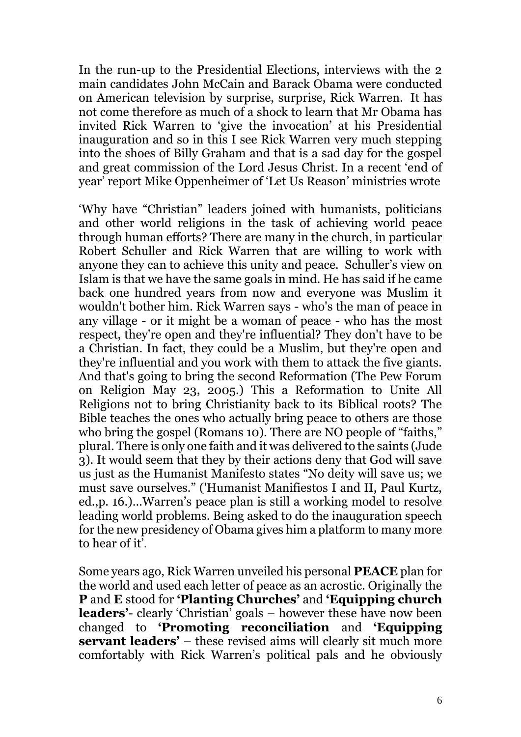In the run-up to the Presidential Elections, interviews with the 2 main candidates John McCain and Barack Obama were conducted on American television by surprise, surprise, Rick Warren. It has not come therefore as much of a shock to learn that Mr Obama has invited Rick Warren to 'give the invocation' at his Presidential inauguration and so in this I see Rick Warren very much stepping into the shoes of Billy Graham and that is a sad day for the gospel and great commission of the Lord Jesus Christ. In a recent 'end of year' report Mike Oppenheimer of 'Let Us Reason' ministries wrote

'Why have "Christian" leaders joined with humanists, politicians and other world religions in the task of achieving world peace through human efforts? There are many in the church, in particular Robert Schuller and Rick Warren that are willing to work with anyone they can to achieve this unity and peace. Schuller's view on Islam is that we have the same goals in mind. He has said if he came back one hundred years from now and everyone was Muslim it wouldn't bother him. Rick Warren says - who's the man of peace in any village - or it might be a woman of peace - who has the most respect, they're open and they're influential? They don't have to be a Christian. In fact, they could be a Muslim, but they're open and they're influential and you work with them to attack the five giants. And that's going to bring the second Reformation (The Pew Forum on Religion May 23, 2005.) This a Reformation to Unite All Religions not to bring Christianity back to its Biblical roots? The Bible teaches the ones who actually bring peace to others are those who bring the gospel (Romans 10). There are NO people of "faiths," plural. There is only one faith and it was delivered to the saints (Jude 3). It would seem that they by their actions deny that God will save us just as the Humanist Manifesto states "No deity will save us; we must save ourselves." ('Humanist Manifiestos I and II, Paul Kurtz, ed.,p. 16.)…Warren's peace plan is still a working model to resolve leading world problems. Being asked to do the inauguration speech for the new presidency of Obama gives him a platform to many more to hear of it'.

Some years ago, Rick Warren unveiled his personal **PEACE** plan for the world and used each letter of peace as an acrostic. Originally the **P** and **E** stood for **'Planting Churches'** and **'Equipping church leaders'**- clearly 'Christian' goals – however these have now been changed to **'Promoting reconciliation** and **'Equipping servant leaders'** – these revised aims will clearly sit much more comfortably with Rick Warren's political pals and he obviously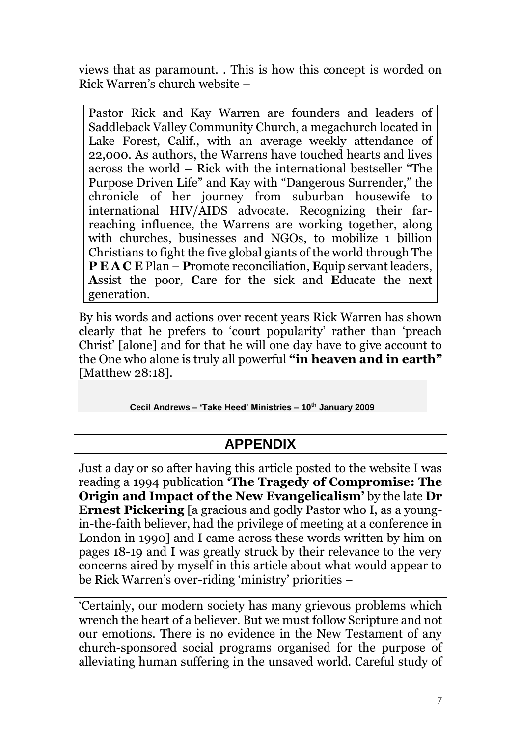views that as paramount. . This is how this concept is worded on Rick Warren's church website –

Pastor Rick and Kay Warren are founders and leaders of Saddleback Valley Community Church, a megachurch located in Lake Forest, Calif., with an average weekly attendance of 22,000. As authors, the Warrens have touched hearts and lives across the world – Rick with the international bestseller "The Purpose Driven Life" and Kay with "Dangerous Surrender," the chronicle of her journey from suburban housewife to international HIV/AIDS advocate. Recognizing their farreaching influence, the Warrens are working together, along with churches, businesses and NGOs, to mobilize 1 billion Christians to fight the five global giants of the world through The **P E A C E** Plan – **P**romote reconciliation, **E**quip servant leaders, **A**ssist the poor, **C**are for the sick and **E**ducate the next generation.

By his words and actions over recent years Rick Warren has shown clearly that he prefers to 'court popularity' rather than 'preach Christ' [alone] and for that he will one day have to give account to the One who alone is truly all powerful **"in heaven and in earth"** [Matthew 28:18].

**Cecil Andrews – 'Take Heed' Ministries – 10th January 2009** 

## **APPENDIX**

Just a day or so after having this article posted to the website I was reading a 1994 publication **'The Tragedy of Compromise: The Origin and Impact of the New Evangelicalism'** by the late **Dr Ernest Pickering** [a gracious and godly Pastor who I, as a youngin-the-faith believer, had the privilege of meeting at a conference in London in 1990] and I came across these words written by him on pages 18-19 and I was greatly struck by their relevance to the very concerns aired by myself in this article about what would appear to be Rick Warren's over-riding 'ministry' priorities –

'Certainly, our modern society has many grievous problems which wrench the heart of a believer. But we must follow Scripture and not our emotions. There is no evidence in the New Testament of any church-sponsored social programs organised for the purpose of alleviating human suffering in the unsaved world. Careful study of